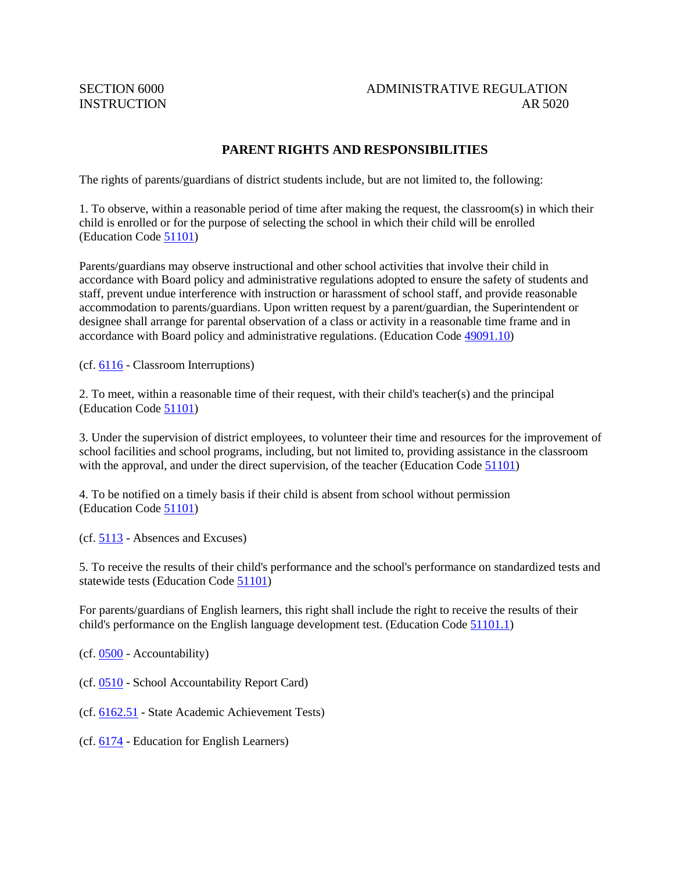## SECTION 6000 ADMINISTRATIVE REGULATION INSTRUCTION AR 5020

## **PARENT RIGHTS AND RESPONSIBILITIES**

The rights of parents/guardians of district students include, but are not limited to, the following:

1. To observe, within a reasonable period of time after making the request, the classroom(s) in which their child is enrolled or for the purpose of selecting the school in which their child will be enrolled (Education Code [51101\)](http://gamutonline.net/displayPolicy/138107/5)

Parents/guardians may observe instructional and other school activities that involve their child in accordance with Board policy and administrative regulations adopted to ensure the safety of students and staff, prevent undue interference with instruction or harassment of school staff, and provide reasonable accommodation to parents/guardians. Upon written request by a parent/guardian, the Superintendent or designee shall arrange for parental observation of a class or activity in a reasonable time frame and in accordance with Board policy and administrative regulations. (Education Code [49091.10\)](http://gamutonline.net/displayPolicy/138136/5)

(cf. [6116](http://gamutonline.net/displayPolicy/170965/5) - Classroom Interruptions)

2. To meet, within a reasonable time of their request, with their child's teacher(s) and the principal (Education Code [51101\)](http://gamutonline.net/displayPolicy/138107/5)

3. Under the supervision of district employees, to volunteer their time and resources for the improvement of school facilities and school programs, including, but not limited to, providing assistance in the classroom with the approval, and under the direct supervision, of the teacher (Education Code [51101\)](http://gamutonline.net/displayPolicy/138107/5)

4. To be notified on a timely basis if their child is absent from school without permission (Education Code [51101\)](http://gamutonline.net/displayPolicy/138107/5)

(cf. [5113](http://gamutonline.net/displayPolicy/171542/5) - Absences and Excuses)

5. To receive the results of their child's performance and the school's performance on standardized tests and statewide tests (Education Code [51101\)](http://gamutonline.net/displayPolicy/138107/5)

For parents/guardians of English learners, this right shall include the right to receive the results of their child's performance on the English language development test. (Education Code [51101.1\)](http://gamutonline.net/displayPolicy/288559/5)

(cf. [0500](http://gamutonline.net/displayPolicy/171712/5) - Accountability)

(cf. [0510](http://gamutonline.net/displayPolicy/315724/5) - School Accountability Report Card)

(cf. [6162.51](http://gamutonline.net/displayPolicy/352670/5) - State Academic Achievement Tests)

(cf. [6174](http://gamutonline.net/displayPolicy/288783/5) - Education for English Learners)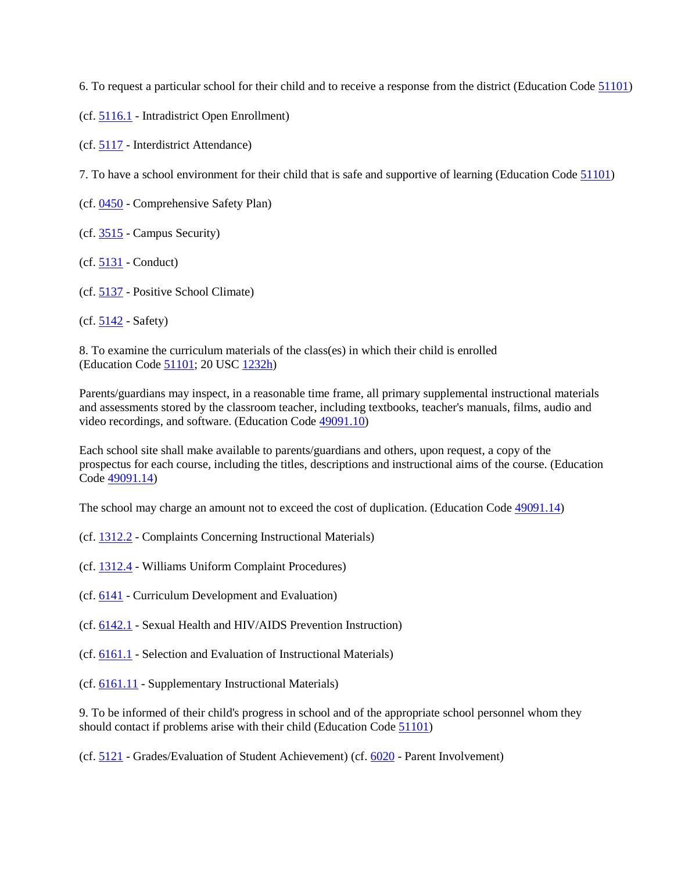6. To request a particular school for their child and to receive a response from the district (Education Code [51101\)](http://gamutonline.net/displayPolicy/138107/5)

(cf. [5116.1](http://gamutonline.net/displayPolicy/1053070/5) - Intradistrict Open Enrollment)

(cf. [5117](http://gamutonline.net/displayPolicy/170868/5) - Interdistrict Attendance)

7. To have a school environment for their child that is safe and supportive of learning (Education Code [51101\)](http://gamutonline.net/displayPolicy/138107/5)

(cf. [0450](http://gamutonline.net/displayPolicy/1053052/5) - Comprehensive Safety Plan)

(cf. [3515](http://gamutonline.net/displayPolicy/431198/5) - Campus Security)

(cf. [5131](http://gamutonline.net/displayPolicy/931147/5) - Conduct)

(cf. [5137](http://gamutonline.net/displayPolicy/170904/5) - Positive School Climate)

 $(cf. 5142 - Safety)$  $(cf. 5142 - Safety)$  $(cf. 5142 - Safety)$ 

8. To examine the curriculum materials of the class(es) in which their child is enrolled (Education Code [51101;](http://gamutonline.net/displayPolicy/138107/5) 20 USC [1232h\)](http://gamutonline.net/displayPolicy/241100/5)

Parents/guardians may inspect, in a reasonable time frame, all primary supplemental instructional materials and assessments stored by the classroom teacher, including textbooks, teacher's manuals, films, audio and video recordings, and software. (Education Code [49091.10\)](http://gamutonline.net/displayPolicy/138136/5)

Each school site shall make available to parents/guardians and others, upon request, a copy of the prospectus for each course, including the titles, descriptions and instructional aims of the course. (Education Code [49091.14\)](http://gamutonline.net/displayPolicy/138138/5)

The school may charge an amount not to exceed the cost of duplication. (Education Code [49091.14\)](http://gamutonline.net/displayPolicy/138138/5)

- (cf. [1312.2](http://gamutonline.net/displayPolicy/170635/5) Complaints Concerning Instructional Materials)
- (cf. [1312.4](http://gamutonline.net/displayPolicy/936007/5) Williams Uniform Complaint Procedures)
- (cf. [6141](http://gamutonline.net/displayPolicy/170968/5) Curriculum Development and Evaluation)

(cf. [6142.1](http://gamutonline.net/displayPolicy/352665/5) - Sexual Health and HIV/AIDS Prevention Instruction)

- (cf. [6161.1](http://gamutonline.net/displayPolicy/931151/5) Selection and Evaluation of Instructional Materials)
- (cf. [6161.11](http://gamutonline.net/displayPolicy/171029/5) Supplementary Instructional Materials)

9. To be informed of their child's progress in school and of the appropriate school personnel whom they should contact if problems arise with their child (Education Code [51101\)](http://gamutonline.net/displayPolicy/138107/5)

(cf. [5121](http://gamutonline.net/displayPolicy/1053072/5) - Grades/Evaluation of Student Achievement) (cf. [6020](http://gamutonline.net/displayPolicy/171184/5) - Parent Involvement)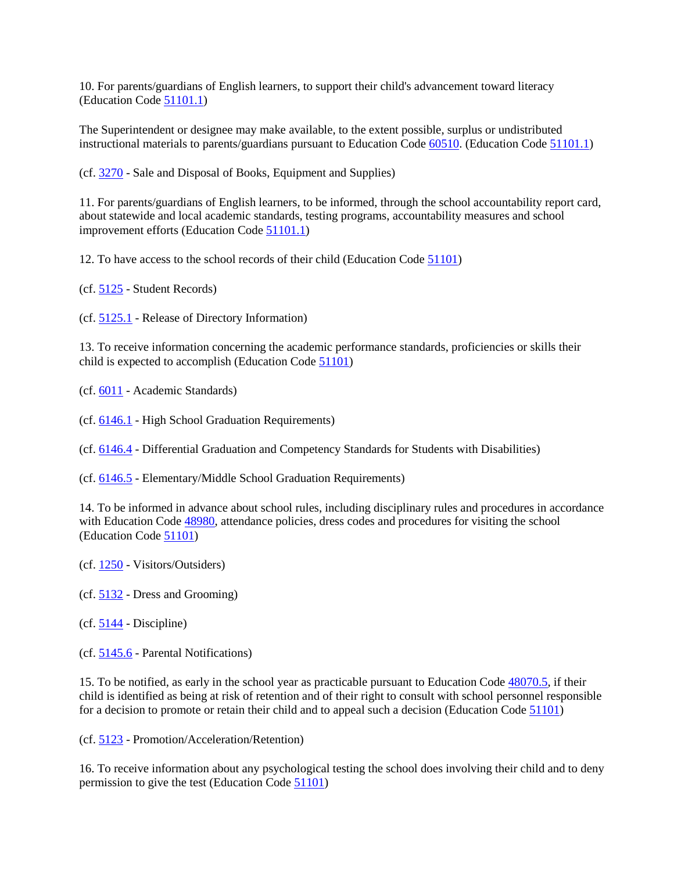10. For parents/guardians of English learners, to support their child's advancement toward literacy (Education Code [51101.1\)](http://gamutonline.net/displayPolicy/288559/5)

The Superintendent or designee may make available, to the extent possible, surplus or undistributed instructional materials to parents/guardians pursuant to Education Code [60510.](http://gamutonline.net/displayPolicy/133895/5) (Education Code [51101.1\)](http://gamutonline.net/displayPolicy/288559/5)

(cf. [3270](http://gamutonline.net/displayPolicy/1056955/5) - Sale and Disposal of Books, Equipment and Supplies)

11. For parents/guardians of English learners, to be informed, through the school accountability report card, about statewide and local academic standards, testing programs, accountability measures and school improvement efforts (Education Code [51101.1\)](http://gamutonline.net/displayPolicy/288559/5)

12. To have access to the school records of their child (Education Code [51101\)](http://gamutonline.net/displayPolicy/138107/5)

- (cf. [5125](http://gamutonline.net/displayPolicy/559084/5) Student Records)
- (cf. [5125.1](http://gamutonline.net/displayPolicy/274285/5) Release of Directory Information)

13. To receive information concerning the academic performance standards, proficiencies or skills their child is expected to accomplish (Education Code [51101\)](http://gamutonline.net/displayPolicy/138107/5)

- (cf. [6011](http://gamutonline.net/displayPolicy/211099/5) Academic Standards)
- (cf. [6146.1](http://gamutonline.net/displayPolicy/352667/5) High School Graduation Requirements)
- (cf. [6146.4](http://gamutonline.net/displayPolicy/222843/5) Differential Graduation and Competency Standards for Students with Disabilities)
- (cf. [6146.5](http://gamutonline.net/displayPolicy/211104/5) Elementary/Middle School Graduation Requirements)

14. To be informed in advance about school rules, including disciplinary rules and procedures in accordance with Education Code [48980,](http://gamutonline.net/displayPolicy/226041/5) attendance policies, dress codes and procedures for visiting the school (Education Code [51101\)](http://gamutonline.net/displayPolicy/138107/5)

- (cf. [1250](http://gamutonline.net/displayPolicy/171202/5) Visitors/Outsiders)
- (cf. [5132](http://gamutonline.net/displayPolicy/171234/5) Dress and Grooming)
- (cf. [5144](http://gamutonline.net/displayPolicy/909486/5) Discipline)
- (cf. [5145.6](http://gamutonline.net/displayPolicy/222839/5) Parental Notifications)

15. To be notified, as early in the school year as practicable pursuant to Education Code [48070.5,](http://gamutonline.net/displayPolicy/138070/5) if their child is identified as being at risk of retention and of their right to consult with school personnel responsible for a decision to promote or retain their child and to appeal such a decision (Education Code [51101\)](http://gamutonline.net/displayPolicy/138107/5)

(cf. [5123](http://gamutonline.net/displayPolicy/226660/5) - Promotion/Acceleration/Retention)

16. To receive information about any psychological testing the school does involving their child and to deny permission to give the test (Education Code [51101\)](http://gamutonline.net/displayPolicy/138107/5)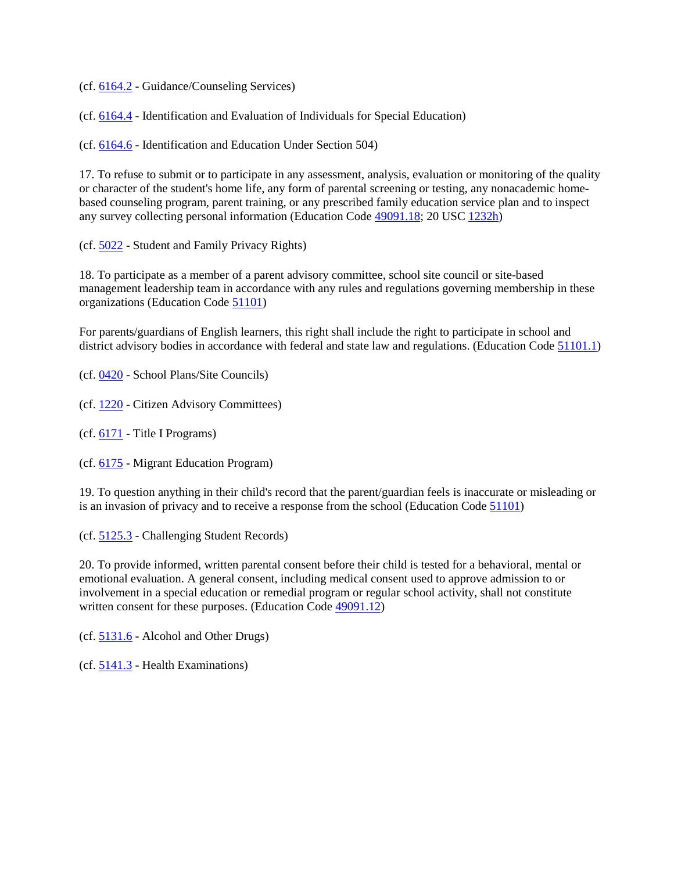(cf. [6164.2](http://gamutonline.net/displayPolicy/1036978/5) - Guidance/Counseling Services)

(cf. [6164.4](http://gamutonline.net/displayPolicy/292832/5) - Identification and Evaluation of Individuals for Special Education)

(cf. [6164.6](http://gamutonline.net/displayPolicy/171048/5) - Identification and Education Under Section 504)

17. To refuse to submit or to participate in any assessment, analysis, evaluation or monitoring of the quality or character of the student's home life, any form of parental screening or testing, any nonacademic homebased counseling program, parent training, or any prescribed family education service plan and to inspect any survey collecting personal information (Education Code [49091.18;](http://gamutonline.net/displayPolicy/138140/5) 20 USC [1232h\)](http://gamutonline.net/displayPolicy/241100/5)

(cf. [5022](http://gamutonline.net/displayPolicy/288764/5) - Student and Family Privacy Rights)

18. To participate as a member of a parent advisory committee, school site council or site-based management leadership team in accordance with any rules and regulations governing membership in these organizations (Education Code [51101\)](http://gamutonline.net/displayPolicy/138107/5)

For parents/guardians of English learners, this right shall include the right to participate in school and district advisory bodies in accordance with federal and state law and regulations. (Education Code [51101.1\)](http://gamutonline.net/displayPolicy/288559/5)

(cf. [0420](http://gamutonline.net/displayPolicy/1002197/5) - School Plans/Site Councils)

(cf. [1220](http://gamutonline.net/displayPolicy/170624/5) - Citizen Advisory Committees)

(cf. [6171](http://gamutonline.net/displayPolicy/288781/5) - Title I Programs)

(cf. [6175](http://gamutonline.net/displayPolicy/303911/5) - Migrant Education Program)

19. To question anything in their child's record that the parent/guardian feels is inaccurate or misleading or is an invasion of privacy and to receive a response from the school (Education Code [51101\)](http://gamutonline.net/displayPolicy/138107/5)

(cf. [5125.3](http://gamutonline.net/displayPolicy/171127/5) - Challenging Student Records)

20. To provide informed, written parental consent before their child is tested for a behavioral, mental or emotional evaluation. A general consent, including medical consent used to approve admission to or involvement in a special education or remedial program or regular school activity, shall not constitute written consent for these purposes. (Education Code [49091.12\)](http://gamutonline.net/displayPolicy/138137/5)

(cf. [5131.6](http://gamutonline.net/displayPolicy/171128/5) - Alcohol and Other Drugs)

(cf. [5141.3](http://gamutonline.net/displayPolicy/171177/5) - Health Examinations)